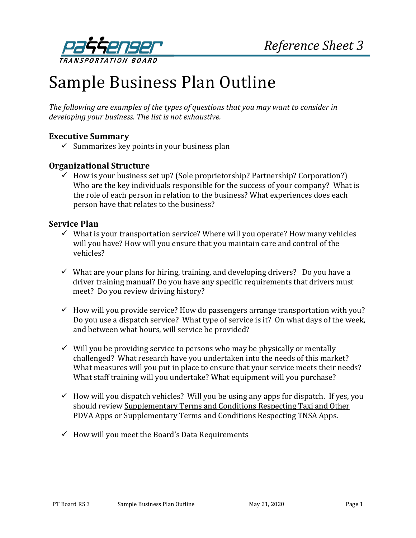

# Sample Business Plan Outline

*The following are examples of the types of questions that you may want to consider in developing your business. The list is not exhaustive.*

# **Executive Summary**

 $\checkmark$  Summarizes key points in your business plan

#### **Organizational Structure**

 $\checkmark$  How is your business set up? (Sole proprietorship? Partnership? Corporation?) Who are the key individuals responsible for the success of your company? What is the role of each person in relation to the business? What experiences does each person have that relates to the business?

#### **Service Plan**

- $\checkmark$  What is your transportation service? Where will you operate? How many vehicles will you have? How will you ensure that you maintain care and control of the vehicles?
- $\checkmark$  What are your plans for hiring, training, and developing drivers? Do you have a driver training manual? Do you have any specific requirements that drivers must meet? Do you review driving history?
- $\checkmark$  How will you provide service? How do passengers arrange transportation with you? Do you use a dispatch service? What type of service is it? On what days of the week, and between what hours, will service be provided?
- $\checkmark$  Will you be providing service to persons who may be physically or mentally challenged? What research have you undertaken into the needs of this market? What measures will you put in place to ensure that your service meets their needs? What staff training will you undertake? What equipment will you purchase?
- $\checkmark$  How will you dispatch vehicles? Will you be using any apps for dispatch. If yes, you should review [Supplementary Terms and Conditions Respecting Taxi and Other](https://www.ptboard.bc.ca/documents/t-and-c_pdva-apps.pdf)  [PDVA Apps](https://www.ptboard.bc.ca/documents/t-and-c_pdva-apps.pdf) o[r Supplementary Terms and Conditions Respecting TNSA Apps.](https://www.ptboard.bc.ca/documents/TNSA-Apps-T&Cs.pdf)
- $\checkmark$  How will you meet the Board's [Data Requirements](https://www.ptboard.bc.ca/documents/Data_Requirements.pdf)